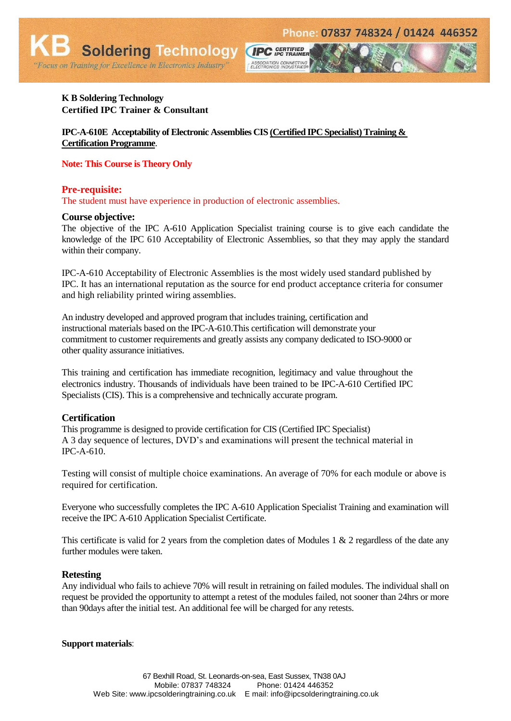# **K B Soldering Technology Certified IPC Trainer & Consultant**

"Focus on Training for Excellence in Electronics Industry"

**Soldering Technology** 

**IPC-A-610E Acceptability of Electronic Assemblies CIS (Certified IPC Specialist) Training & Certification Programme**.

**Note: This Course is Theory Only**

## **Pre-requisite:**

The student must have experience in production of electronic assemblies.

### **Course objective:**

The objective of the IPC A-610 Application Specialist training course is to give each candidate the knowledge of the IPC 610 Acceptability of Electronic Assemblies, so that they may apply the standard within their company.

**CIPC** GERTIFIED

ASSOCIATION CONNECTING<br>ELECTRONICS INDUSTRIES®

IPC-A-610 Acceptability of Electronic Assemblies is the most widely used standard published by IPC. It has an international reputation as the source for end product acceptance criteria for consumer and high reliability printed wiring assemblies.

An industry developed and approved program that includes training, certification and instructional materials based on the IPC-A-610.This certification will demonstrate your commitment to customer requirements and greatly assists any company dedicated to ISO-9000 or other quality assurance initiatives.

This training and certification has immediate recognition, legitimacy and value throughout the electronics industry. Thousands of individuals have been trained to be IPC-A-610 Certified IPC Specialists (CIS). This is a comprehensive and technically accurate program.

### **Certification**

This programme is designed to provide certification for CIS (Certified IPC Specialist) A 3 day sequence of lectures, DVD's and examinations will present the technical material in IPC-A-610.

Testing will consist of multiple choice examinations. An average of 70% for each module or above is required for certification.

Everyone who successfully completes the IPC A-610 Application Specialist Training and examination will receive the IPC A-610 Application Specialist Certificate.

This certificate is valid for 2 years from the completion dates of Modules 1 & 2 regardless of the date any further modules were taken.

### **Retesting**

Any individual who fails to achieve 70% will result in retraining on failed modules. The individual shall on request be provided the opportunity to attempt a retest of the modules failed, not sooner than 24hrs or more than 90days after the initial test. An additional fee will be charged for any retests.

#### **Support materials**: